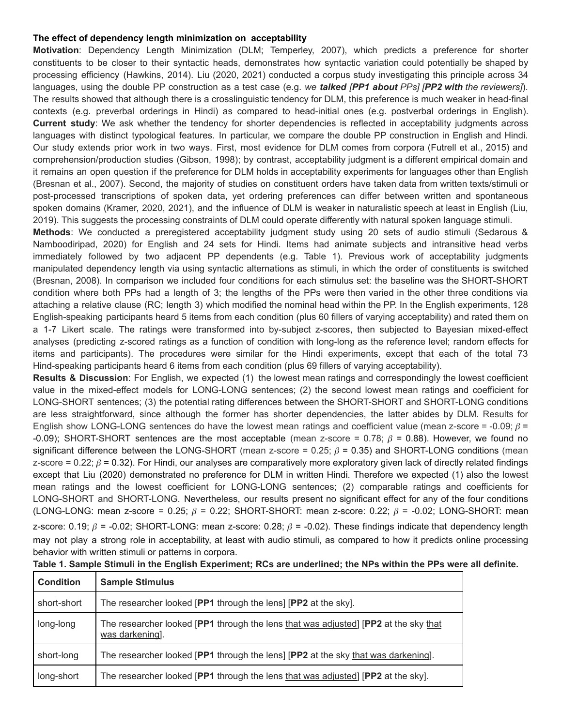## **The effect of dependency length minimization on acceptability**

**Motivation**: Dependency Length Minimization (DLM; Temperley, 2007), which predicts a preference for shorter constituents to be closer to their syntactic heads, demonstrates how syntactic variation could potentially be shaped by processing efficiency (Hawkins, 2014). Liu (2020, 2021) conducted a corpus study investigating this principle across 34 languages, using the double PP construction as a test case (e.g. *we talked [PP1 about PPs] [PP2 with the reviewers]*). The results showed that although there is a crosslinguistic tendency for DLM, this preference is much weaker in head-final contexts (e.g. preverbal orderings in Hindi) as compared to head-initial ones (e.g. postverbal orderings in English). **Current study**: We ask whether the tendency for shorter dependencies is reflected in acceptability judgments across languages with distinct typological features. In particular, we compare the double PP construction in English and Hindi. Our study extends prior work in two ways. First, most evidence for DLM comes from corpora (Futrell et al., 2015) and comprehension/production studies (Gibson, 1998); by contrast, acceptability judgment is a different empirical domain and it remains an open question if the preference for DLM holds in acceptability experiments for languages other than English (Bresnan et al., 2007). Second, the majority of studies on constituent orders have taken data from written texts/stimuli or post-processed transcriptions of spoken data, yet ordering preferences can differ between written and spontaneous spoken domains (Kramer, 2020, 2021), and the influence of DLM is weaker in naturalistic speech at least in English (Liu, 2019). This suggests the processing constraints of DLM could operate differently with natural spoken language stimuli.

**Methods**: We conducted a preregistered acceptability judgment study using 20 sets of audio stimuli (Sedarous & Namboodiripad, 2020) for English and 24 sets for Hindi. Items had animate subjects and intransitive head verbs immediately followed by two adjacent PP dependents (e.g. Table 1). Previous work of acceptability judgments manipulated dependency length via using syntactic alternations as stimuli, in which the order of constituents is switched (Bresnan, 2008). In comparison we included four conditions for each stimulus set: the baseline was the SHORT-SHORT condition where both PPs had a length of 3; the lengths of the PPs were then varied in the other three conditions via attaching a relative clause (RC; length 3) which modified the nominal head within the PP. In the English experiments, 128 English-speaking participants heard 5 items from each condition (plus 60 fillers of varying acceptability) and rated them on a 1-7 Likert scale. The ratings were transformed into by-subject z-scores, then subjected to Bayesian mixed-effect analyses (predicting z-scored ratings as a function of condition with long-long as the reference level; random effects for items and participants). The procedures were similar for the Hindi experiments, except that each of the total 73 Hind-speaking participants heard 6 items from each condition (plus 69 fillers of varying acceptability).

**Results & Discussion**: For English, we expected (1) the lowest mean ratings and correspondingly the lowest coefficient value in the mixed-effect models for LONG-LONG sentences; (2) the second lowest mean ratings and coefficient for LONG-SHORT sentences; (3) the potential rating differences between the SHORT-SHORT and SHORT-LONG conditions are less straightforward, since although the former has shorter dependencies, the latter abides by DLM. Results for English show LONG-LONG sentences do have the lowest mean ratings and coefficient value (mean z-score = -0.09;  $\beta$  = -0.09); SHORT-SHORT sentences are the most acceptable (mean z-score = 0.78;  $\beta$  = 0.88). However, we found no significant difference between the LONG-SHORT (mean z-score =  $0.25$ ;  $\beta$  = 0.35) and SHORT-LONG conditions (mean z-score = 0.22;  $\beta$  = 0.32). For Hindi, our analyses are comparatively more exploratory given lack of directly related findings except that Liu (2020) demonstrated no preference for DLM in written Hindi. Therefore we expected (1) also the lowest mean ratings and the lowest coefficient for LONG-LONG sentences; (2) comparable ratings and coefficients for LONG-SHORT and SHORT-LONG. Nevertheless, our results present no significant effect for any of the four conditions (LONG-LONG: mean z-score = 0.25;  $\beta$  = 0.22; SHORT-SHORT: mean z-score: 0.22;  $\beta$  = -0.02; LONG-SHORT: mean

z-score: 0.19;  $\beta$  = -0.02; SHORT-LONG: mean z-score: 0.28;  $\beta$  = -0.02). These findings indicate that dependency length may not play a strong role in acceptability, at least with audio stimuli, as compared to how it predicts online processing behavior with written stimuli or patterns in corpora.

| <b>Condition</b> | <b>Sample Stimulus</b>                                                                                 |
|------------------|--------------------------------------------------------------------------------------------------------|
| short-short      | The researcher looked [PP1 through the lens] [PP2 at the sky].                                         |
| long-long        | The researcher looked [PP1 through the lens that was adjusted] [PP2 at the sky that<br>was darkening]. |
| short-long       | The researcher looked [PP1 through the lens] [PP2 at the sky that was darkening].                      |
| long-short       | The researcher looked [PP1 through the lens that was adjusted] [PP2 at the sky].                       |

Table 1. Sample Stimuli in the English Experiment; RCs are underlined; the NPs within the PPs were all definite.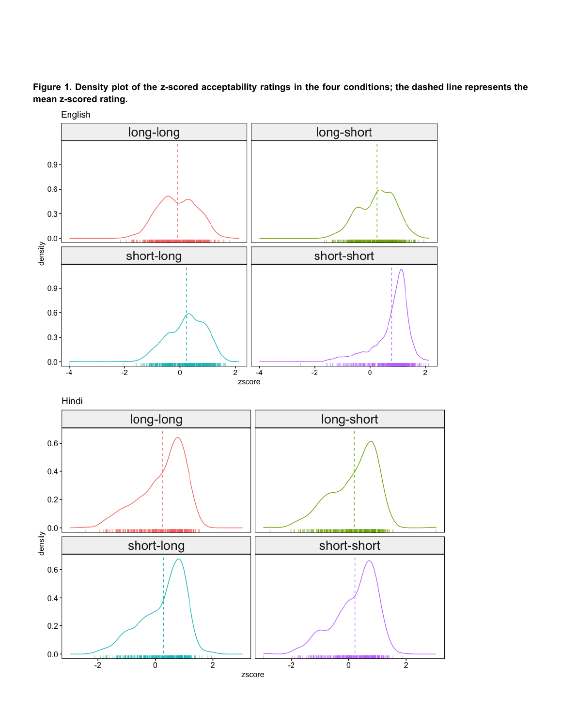Figure 1. Density plot of the z-scored acceptability ratings in the four conditions; the dashed line represents the mean z-scored rating.